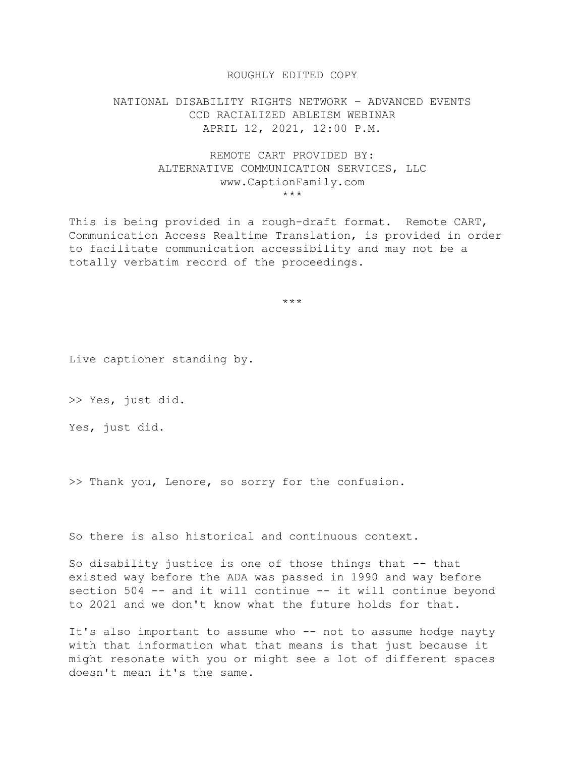## ROUGHLY EDITED COPY

## NATIONAL DISABILITY RIGHTS NETWORK – ADVANCED EVENTS CCD RACIALIZED ABLEISM WEBINAR APRIL 12, 2021, 12:00 P.M.

## REMOTE CART PROVIDED BY: ALTERNATIVE COMMUNICATION SERVICES, LLC www.CaptionFamily.com \*\*\*

This is being provided in a rough-draft format. Remote CART, Communication Access Realtime Translation, is provided in order to facilitate communication accessibility and may not be a totally verbatim record of the proceedings.

\*\*\*

Live captioner standing by.

>> Yes, just did.

Yes, just did.

>> Thank you, Lenore, so sorry for the confusion.

So there is also historical and continuous context.

So disability justice is one of those things that -- that existed way before the ADA was passed in 1990 and way before section 504 -- and it will continue -- it will continue beyond to 2021 and we don't know what the future holds for that.

It's also important to assume who -- not to assume hodge nayty with that information what that means is that just because it might resonate with you or might see a lot of different spaces doesn't mean it's the same.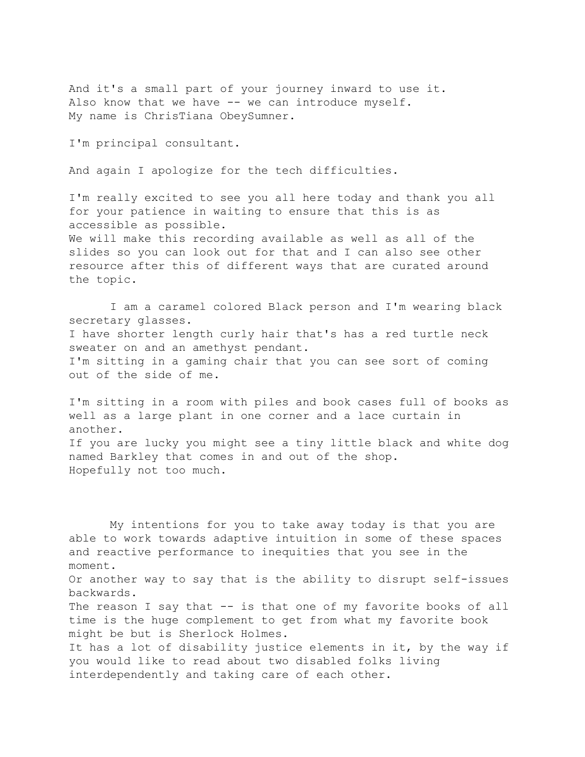And it's a small part of your journey inward to use it. Also know that we have -- we can introduce myself. My name is ChrisTiana ObeySumner.

I'm principal consultant.

And again I apologize for the tech difficulties.

I'm really excited to see you all here today and thank you all for your patience in waiting to ensure that this is as accessible as possible.

We will make this recording available as well as all of the slides so you can look out for that and I can also see other resource after this of different ways that are curated around the topic.

 I am a caramel colored Black person and I'm wearing black secretary glasses. I have shorter length curly hair that's has a red turtle neck sweater on and an amethyst pendant. I'm sitting in a gaming chair that you can see sort of coming out of the side of me.

I'm sitting in a room with piles and book cases full of books as well as a large plant in one corner and a lace curtain in another. If you are lucky you might see a tiny little black and white dog named Barkley that comes in and out of the shop. Hopefully not too much.

 My intentions for you to take away today is that you are able to work towards adaptive intuition in some of these spaces and reactive performance to inequities that you see in the moment. Or another way to say that is the ability to disrupt self-issues backwards. The reason I say that -- is that one of my favorite books of all time is the huge complement to get from what my favorite book might be but is Sherlock Holmes. It has a lot of disability justice elements in it, by the way if you would like to read about two disabled folks living interdependently and taking care of each other.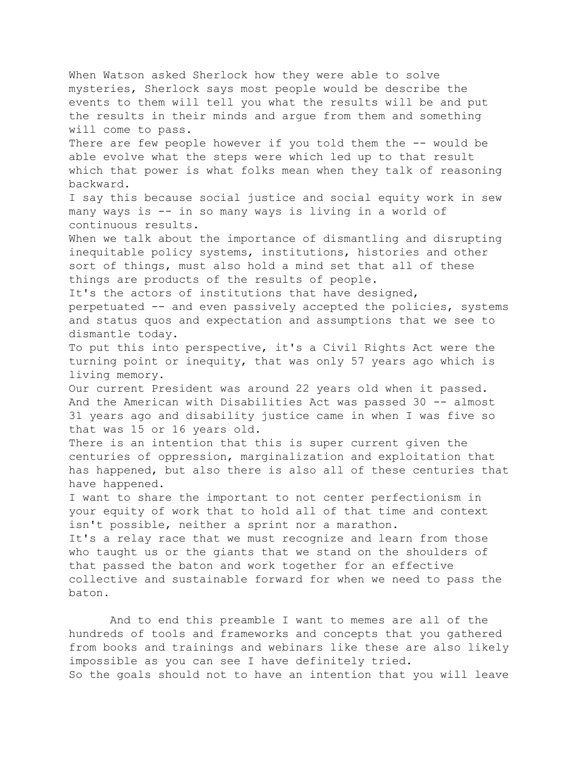When Watson asked Sherlock how they were able to solve mysteries, Sherlock says most people would be describe the events to them will tell you what the results will be and put the results in their minds and argue from them and something will come to pass. There are few people however if you told them the -- would be able evolve what the steps were which led up to that result which that power is what folks mean when they talk of reasoning backward. I say this because social justice and social equity work in sew many ways is -- in so many ways is living in a world of continuous results. When we talk about the importance of dismantling and disrupting inequitable policy systems, institutions, histories and other sort of things, must also hold a mind set that all of these things are products of the results of people. It's the actors of institutions that have designed, perpetuated -- and even passively accepted the policies, systems and status quos and expectation and assumptions that we see to dismantle today. To put this into perspective, it's a Civil Rights Act were the turning point or inequity, that was only 57 years ago which is living memory. Our current President was around 22 years old when it passed. And the American with Disabilities Act was passed 30 -- almost 31 years ago and disability justice came in when I was five so that was 15 or 16 years old. There is an intention that this is super current given the centuries of oppression, marginalization and exploitation that has happened, but also there is also all of these centuries that have happened. I want to share the important to not center perfectionism in your equity of work that to hold all of that time and context isn't possible, neither a sprint nor a marathon. It's a relay race that we must recognize and learn from those who taught us or the giants that we stand on the shoulders of that passed the baton and work together for an effective collective and sustainable forward for when we need to pass the baton.

 And to end this preamble I want to memes are all of the hundreds of tools and frameworks and concepts that you gathered from books and trainings and webinars like these are also likely impossible as you can see I have definitely tried. So the goals should not to have an intention that you will leave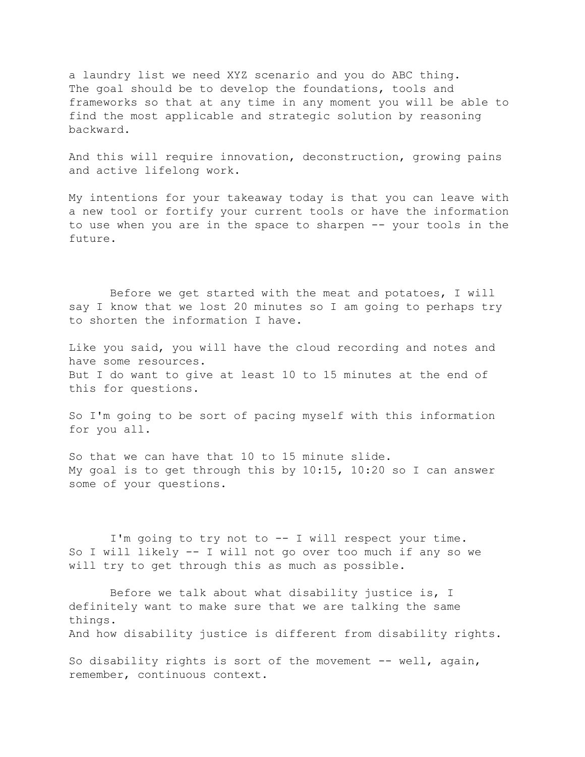a laundry list we need XYZ scenario and you do ABC thing. The goal should be to develop the foundations, tools and frameworks so that at any time in any moment you will be able to find the most applicable and strategic solution by reasoning backward.

And this will require innovation, deconstruction, growing pains and active lifelong work.

My intentions for your takeaway today is that you can leave with a new tool or fortify your current tools or have the information to use when you are in the space to sharpen -- your tools in the future.

 Before we get started with the meat and potatoes, I will say I know that we lost 20 minutes so I am going to perhaps try to shorten the information I have.

Like you said, you will have the cloud recording and notes and have some resources. But I do want to give at least 10 to 15 minutes at the end of this for questions.

So I'm going to be sort of pacing myself with this information for you all.

So that we can have that 10 to 15 minute slide. My goal is to get through this by 10:15, 10:20 so I can answer some of your questions.

 I'm going to try not to -- I will respect your time. So I will likely -- I will not go over too much if any so we will try to get through this as much as possible.

 Before we talk about what disability justice is, I definitely want to make sure that we are talking the same things. And how disability justice is different from disability rights.

So disability rights is sort of the movement -- well, again, remember, continuous context.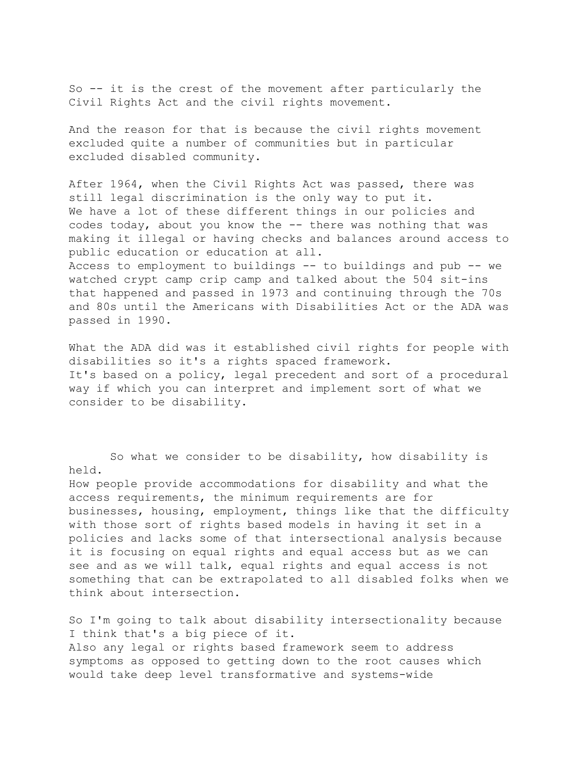So -- it is the crest of the movement after particularly the Civil Rights Act and the civil rights movement.

And the reason for that is because the civil rights movement excluded quite a number of communities but in particular excluded disabled community.

After 1964, when the Civil Rights Act was passed, there was still legal discrimination is the only way to put it. We have a lot of these different things in our policies and codes today, about you know the -- there was nothing that was making it illegal or having checks and balances around access to public education or education at all. Access to employment to buildings -- to buildings and pub -- we

watched crypt camp crip camp and talked about the 504 sit-ins that happened and passed in 1973 and continuing through the 70s and 80s until the Americans with Disabilities Act or the ADA was passed in 1990.

What the ADA did was it established civil rights for people with disabilities so it's a rights spaced framework. It's based on a policy, legal precedent and sort of a procedural way if which you can interpret and implement sort of what we consider to be disability.

 So what we consider to be disability, how disability is held.

How people provide accommodations for disability and what the access requirements, the minimum requirements are for businesses, housing, employment, things like that the difficulty with those sort of rights based models in having it set in a policies and lacks some of that intersectional analysis because it is focusing on equal rights and equal access but as we can see and as we will talk, equal rights and equal access is not something that can be extrapolated to all disabled folks when we think about intersection.

So I'm going to talk about disability intersectionality because I think that's a big piece of it. Also any legal or rights based framework seem to address symptoms as opposed to getting down to the root causes which would take deep level transformative and systems-wide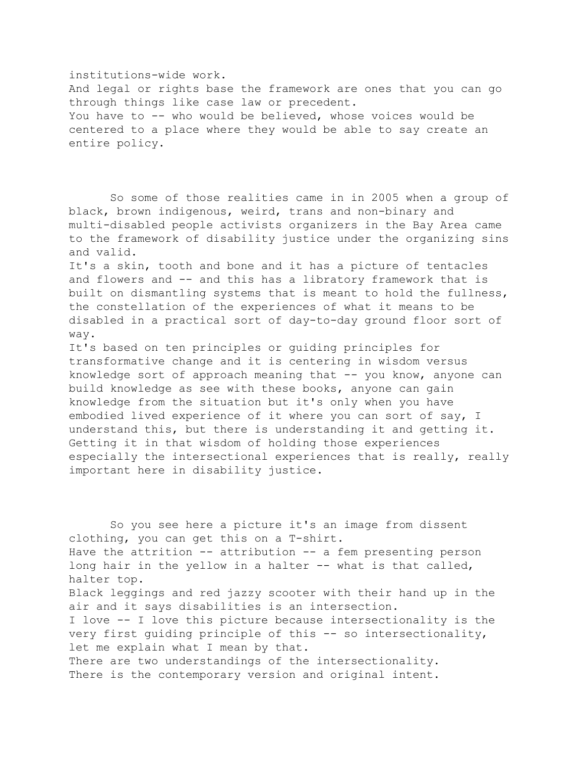institutions-wide work. And legal or rights base the framework are ones that you can go through things like case law or precedent. You have to -- who would be believed, whose voices would be centered to a place where they would be able to say create an entire policy.

 So some of those realities came in in 2005 when a group of black, brown indigenous, weird, trans and non-binary and multi-disabled people activists organizers in the Bay Area came to the framework of disability justice under the organizing sins and valid.

It's a skin, tooth and bone and it has a picture of tentacles and flowers and -- and this has a libratory framework that is built on dismantling systems that is meant to hold the fullness, the constellation of the experiences of what it means to be disabled in a practical sort of day-to-day ground floor sort of way.

It's based on ten principles or guiding principles for transformative change and it is centering in wisdom versus knowledge sort of approach meaning that -- you know, anyone can build knowledge as see with these books, anyone can gain knowledge from the situation but it's only when you have embodied lived experience of it where you can sort of say, I understand this, but there is understanding it and getting it. Getting it in that wisdom of holding those experiences especially the intersectional experiences that is really, really important here in disability justice.

 So you see here a picture it's an image from dissent clothing, you can get this on a T-shirt. Have the attrition -- attribution -- a fem presenting person long hair in the yellow in a halter -- what is that called, halter top. Black leggings and red jazzy scooter with their hand up in the air and it says disabilities is an intersection. I love -- I love this picture because intersectionality is the very first guiding principle of this -- so intersectionality, let me explain what I mean by that. There are two understandings of the intersectionality. There is the contemporary version and original intent.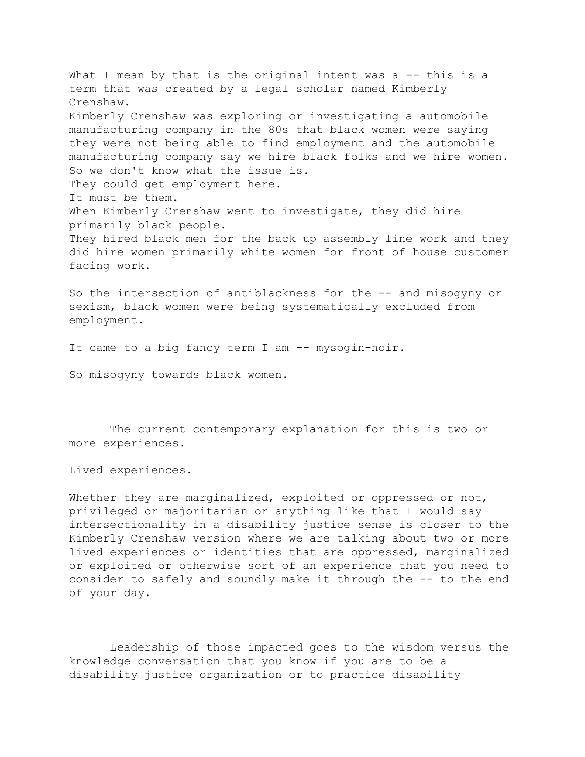What I mean by that is the original intent was a -- this is a term that was created by a legal scholar named Kimberly Crenshaw. Kimberly Crenshaw was exploring or investigating a automobile manufacturing company in the 80s that black women were saying they were not being able to find employment and the automobile manufacturing company say we hire black folks and we hire women. So we don't know what the issue is. They could get employment here. It must be them. When Kimberly Crenshaw went to investigate, they did hire primarily black people. They hired black men for the back up assembly line work and they did hire women primarily white women for front of house customer facing work.

So the intersection of antiblackness for the -- and misogyny or sexism, black women were being systematically excluded from employment.

It came to a big fancy term I am -- mysogin-noir.

So misogyny towards black women.

 The current contemporary explanation for this is two or more experiences.

Lived experiences.

Whether they are marginalized, exploited or oppressed or not, privileged or majoritarian or anything like that I would say intersectionality in a disability justice sense is closer to the Kimberly Crenshaw version where we are talking about two or more lived experiences or identities that are oppressed, marginalized or exploited or otherwise sort of an experience that you need to consider to safely and soundly make it through the -- to the end of your day.

 Leadership of those impacted goes to the wisdom versus the knowledge conversation that you know if you are to be a disability justice organization or to practice disability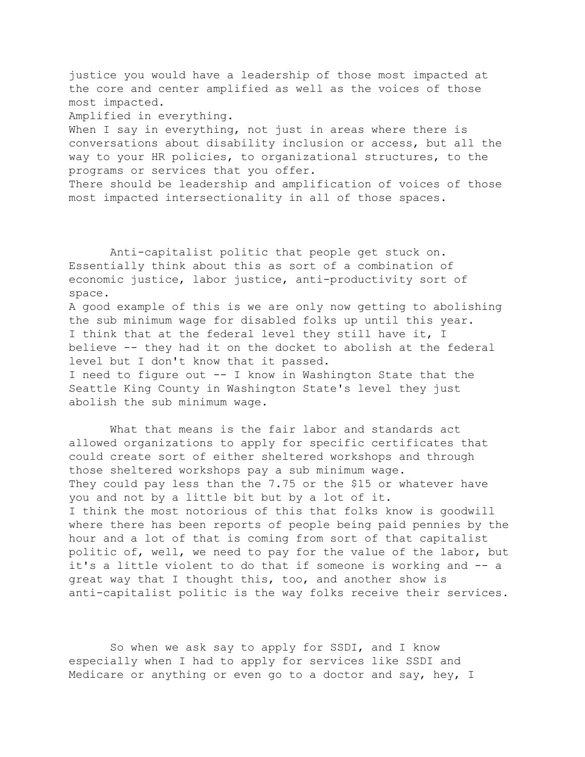justice you would have a leadership of those most impacted at the core and center amplified as well as the voices of those most impacted.

Amplified in everything.

When I say in everything, not just in areas where there is conversations about disability inclusion or access, but all the way to your HR policies, to organizational structures, to the programs or services that you offer.

There should be leadership and amplification of voices of those most impacted intersectionality in all of those spaces.

 Anti-capitalist politic that people get stuck on. Essentially think about this as sort of a combination of economic justice, labor justice, anti-productivity sort of space.

A good example of this is we are only now getting to abolishing the sub minimum wage for disabled folks up until this year. I think that at the federal level they still have it, I believe -- they had it on the docket to abolish at the federal level but I don't know that it passed. I need to figure out -- I know in Washington State that the

Seattle King County in Washington State's level they just abolish the sub minimum wage.

 What that means is the fair labor and standards act allowed organizations to apply for specific certificates that could create sort of either sheltered workshops and through those sheltered workshops pay a sub minimum wage. They could pay less than the 7.75 or the \$15 or whatever have you and not by a little bit but by a lot of it. I think the most notorious of this that folks know is goodwill where there has been reports of people being paid pennies by the hour and a lot of that is coming from sort of that capitalist politic of, well, we need to pay for the value of the labor, but it's a little violent to do that if someone is working and -- a great way that I thought this, too, and another show is anti-capitalist politic is the way folks receive their services.

 So when we ask say to apply for SSDI, and I know especially when I had to apply for services like SSDI and Medicare or anything or even go to a doctor and say, hey, I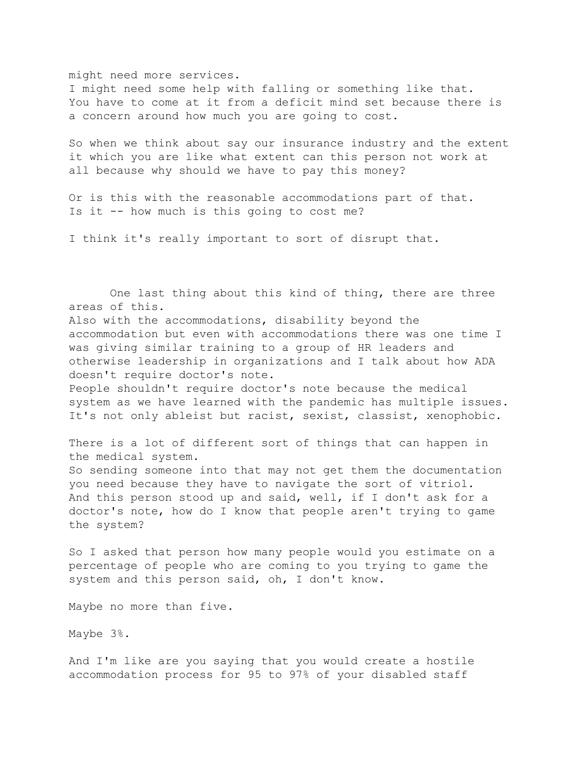might need more services.

I might need some help with falling or something like that. You have to come at it from a deficit mind set because there is a concern around how much you are going to cost.

So when we think about say our insurance industry and the extent it which you are like what extent can this person not work at all because why should we have to pay this money?

Or is this with the reasonable accommodations part of that. Is it -- how much is this going to cost me?

I think it's really important to sort of disrupt that.

 One last thing about this kind of thing, there are three areas of this. Also with the accommodations, disability beyond the accommodation but even with accommodations there was one time I was giving similar training to a group of HR leaders and otherwise leadership in organizations and I talk about how ADA doesn't require doctor's note. People shouldn't require doctor's note because the medical system as we have learned with the pandemic has multiple issues. It's not only ableist but racist, sexist, classist, xenophobic. There is a lot of different sort of things that can happen in the medical system. So sending someone into that may not get them the documentation you need because they have to navigate the sort of vitriol. And this person stood up and said, well, if I don't ask for a doctor's note, how do I know that people aren't trying to game the system? So I asked that person how many people would you estimate on a percentage of people who are coming to you trying to game the system and this person said, oh, I don't know. Maybe no more than five.

Maybe 3%.

And I'm like are you saying that you would create a hostile accommodation process for 95 to 97% of your disabled staff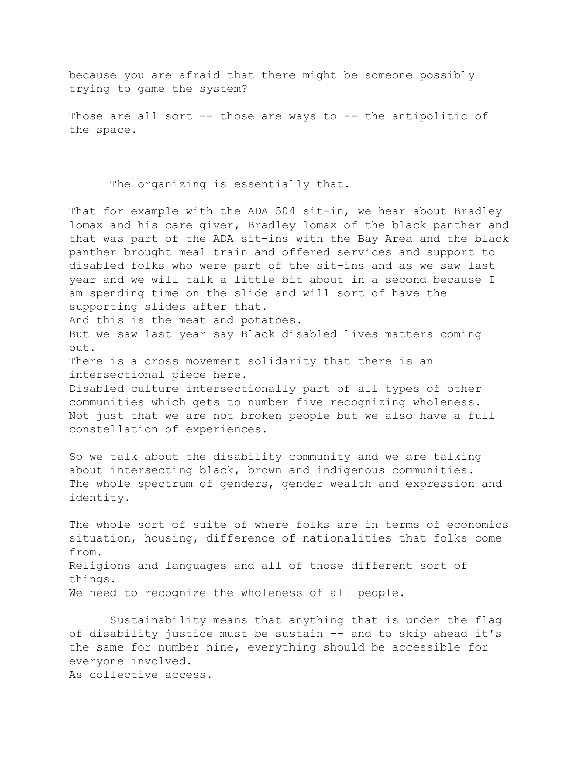because you are afraid that there might be someone possibly trying to game the system?

Those are all sort -- those are ways to -- the antipolitic of the space.

The organizing is essentially that.

That for example with the ADA 504 sit-in, we hear about Bradley lomax and his care giver, Bradley lomax of the black panther and that was part of the ADA sit-ins with the Bay Area and the black panther brought meal train and offered services and support to disabled folks who were part of the sit-ins and as we saw last year and we will talk a little bit about in a second because I am spending time on the slide and will sort of have the supporting slides after that. And this is the meat and potatoes. But we saw last year say Black disabled lives matters coming out. There is a cross movement solidarity that there is an intersectional piece here. Disabled culture intersectionally part of all types of other communities which gets to number five recognizing wholeness. Not just that we are not broken people but we also have a full constellation of experiences. So we talk about the disability community and we are talking about intersecting black, brown and indigenous communities. The whole spectrum of genders, gender wealth and expression and identity. The whole sort of suite of where folks are in terms of economics situation, housing, difference of nationalities that folks come from.

Religions and languages and all of those different sort of things. We need to recognize the wholeness of all people.

 Sustainability means that anything that is under the flag of disability justice must be sustain -- and to skip ahead it's the same for number nine, everything should be accessible for everyone involved. As collective access.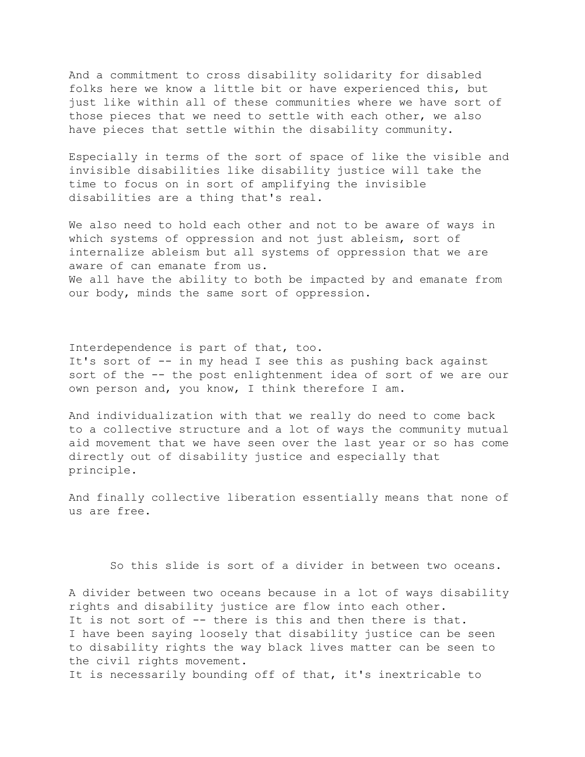And a commitment to cross disability solidarity for disabled folks here we know a little bit or have experienced this, but just like within all of these communities where we have sort of those pieces that we need to settle with each other, we also have pieces that settle within the disability community.

Especially in terms of the sort of space of like the visible and invisible disabilities like disability justice will take the time to focus on in sort of amplifying the invisible disabilities are a thing that's real.

We also need to hold each other and not to be aware of ways in which systems of oppression and not just ableism, sort of internalize ableism but all systems of oppression that we are aware of can emanate from us. We all have the ability to both be impacted by and emanate from our body, minds the same sort of oppression.

Interdependence is part of that, too. It's sort of -- in my head I see this as pushing back against sort of the -- the post enlightenment idea of sort of we are our own person and, you know, I think therefore I am.

And individualization with that we really do need to come back to a collective structure and a lot of ways the community mutual aid movement that we have seen over the last year or so has come directly out of disability justice and especially that principle.

And finally collective liberation essentially means that none of us are free.

So this slide is sort of a divider in between two oceans.

A divider between two oceans because in a lot of ways disability rights and disability justice are flow into each other. It is not sort of -- there is this and then there is that. I have been saying loosely that disability justice can be seen to disability rights the way black lives matter can be seen to the civil rights movement. It is necessarily bounding off of that, it's inextricable to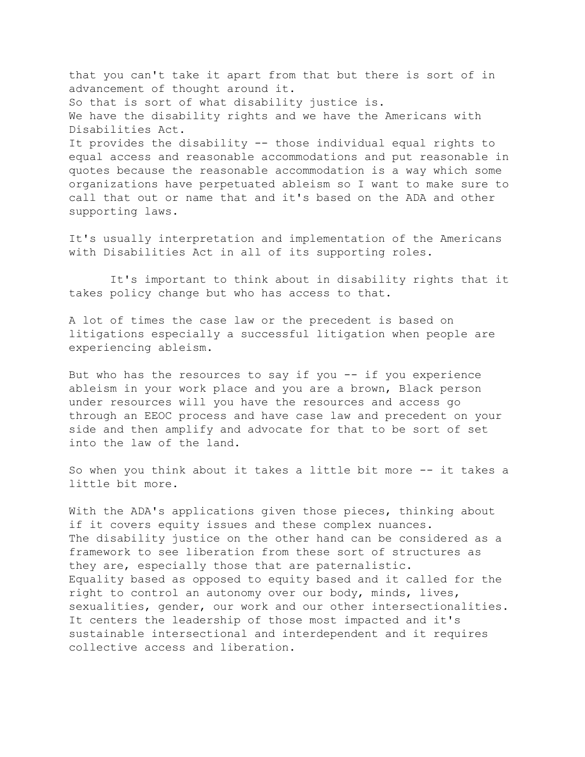that you can't take it apart from that but there is sort of in advancement of thought around it. So that is sort of what disability justice is. We have the disability rights and we have the Americans with Disabilities Act. It provides the disability -- those individual equal rights to equal access and reasonable accommodations and put reasonable in quotes because the reasonable accommodation is a way which some organizations have perpetuated ableism so I want to make sure to call that out or name that and it's based on the ADA and other supporting laws.

It's usually interpretation and implementation of the Americans with Disabilities Act in all of its supporting roles.

 It's important to think about in disability rights that it takes policy change but who has access to that.

A lot of times the case law or the precedent is based on litigations especially a successful litigation when people are experiencing ableism.

But who has the resources to say if you  $-$ - if you experience ableism in your work place and you are a brown, Black person under resources will you have the resources and access go through an EEOC process and have case law and precedent on your side and then amplify and advocate for that to be sort of set into the law of the land.

So when you think about it takes a little bit more -- it takes a little bit more.

With the ADA's applications given those pieces, thinking about if it covers equity issues and these complex nuances. The disability justice on the other hand can be considered as a framework to see liberation from these sort of structures as they are, especially those that are paternalistic. Equality based as opposed to equity based and it called for the right to control an autonomy over our body, minds, lives, sexualities, gender, our work and our other intersectionalities. It centers the leadership of those most impacted and it's sustainable intersectional and interdependent and it requires collective access and liberation.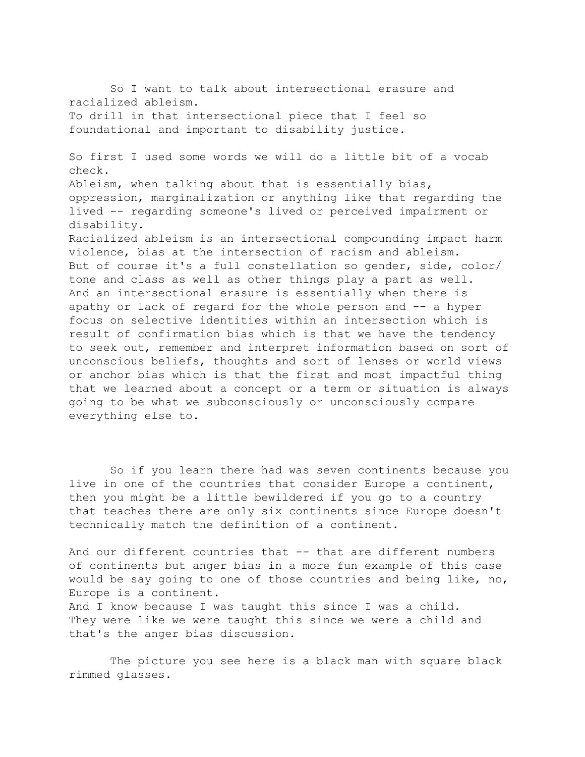So I want to talk about intersectional erasure and racialized ableism. To drill in that intersectional piece that I feel so foundational and important to disability justice. So first I used some words we will do a little bit of a vocab check. Ableism, when talking about that is essentially bias, oppression, marginalization or anything like that regarding the lived -- regarding someone's lived or perceived impairment or disability. Racialized ableism is an intersectional compounding impact harm violence, bias at the intersection of racism and ableism. But of course it's a full constellation so gender, side, color/ tone and class as well as other things play a part as well. And an intersectional erasure is essentially when there is apathy or lack of regard for the whole person and -- a hyper focus on selective identities within an intersection which is result of confirmation bias which is that we have the tendency to seek out, remember and interpret information based on sort of unconscious beliefs, thoughts and sort of lenses or world views or anchor bias which is that the first and most impactful thing that we learned about a concept or a term or situation is always going to be what we subconsciously or unconsciously compare everything else to.

 So if you learn there had was seven continents because you live in one of the countries that consider Europe a continent, then you might be a little bewildered if you go to a country that teaches there are only six continents since Europe doesn't technically match the definition of a continent.

And our different countries that -- that are different numbers of continents but anger bias in a more fun example of this case would be say going to one of those countries and being like, no, Europe is a continent.

And I know because I was taught this since I was a child. They were like we were taught this since we were a child and that's the anger bias discussion.

 The picture you see here is a black man with square black rimmed glasses.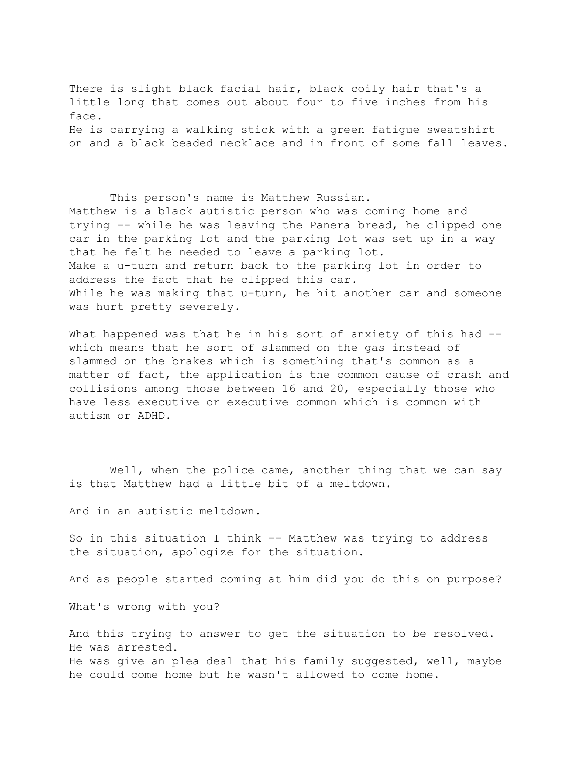There is slight black facial hair, black coily hair that's a little long that comes out about four to five inches from his face. He is carrying a walking stick with a green fatigue sweatshirt on and a black beaded necklace and in front of some fall leaves.

 This person's name is Matthew Russian. Matthew is a black autistic person who was coming home and trying -- while he was leaving the Panera bread, he clipped one car in the parking lot and the parking lot was set up in a way that he felt he needed to leave a parking lot. Make a u-turn and return back to the parking lot in order to address the fact that he clipped this car. While he was making that u-turn, he hit another car and someone was hurt pretty severely.

What happened was that he in his sort of anxiety of this had -which means that he sort of slammed on the gas instead of slammed on the brakes which is something that's common as a matter of fact, the application is the common cause of crash and collisions among those between 16 and 20, especially those who have less executive or executive common which is common with autism or ADHD.

Well, when the police came, another thing that we can say is that Matthew had a little bit of a meltdown.

And in an autistic meltdown.

So in this situation I think -- Matthew was trying to address the situation, apologize for the situation.

And as people started coming at him did you do this on purpose?

What's wrong with you?

And this trying to answer to get the situation to be resolved. He was arrested. He was give an plea deal that his family suggested, well, maybe he could come home but he wasn't allowed to come home.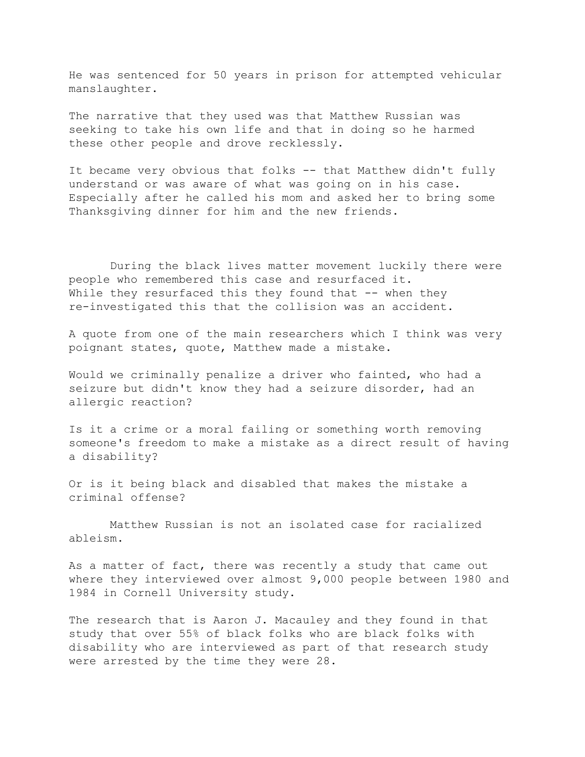He was sentenced for 50 years in prison for attempted vehicular manslaughter.

The narrative that they used was that Matthew Russian was seeking to take his own life and that in doing so he harmed these other people and drove recklessly.

It became very obvious that folks -- that Matthew didn't fully understand or was aware of what was going on in his case. Especially after he called his mom and asked her to bring some Thanksgiving dinner for him and the new friends.

 During the black lives matter movement luckily there were people who remembered this case and resurfaced it. While they resurfaced this they found that  $-$ - when they re-investigated this that the collision was an accident.

A quote from one of the main researchers which I think was very poignant states, quote, Matthew made a mistake.

Would we criminally penalize a driver who fainted, who had a seizure but didn't know they had a seizure disorder, had an allergic reaction?

Is it a crime or a moral failing or something worth removing someone's freedom to make a mistake as a direct result of having a disability?

Or is it being black and disabled that makes the mistake a criminal offense?

 Matthew Russian is not an isolated case for racialized ableism.

As a matter of fact, there was recently a study that came out where they interviewed over almost 9,000 people between 1980 and 1984 in Cornell University study.

The research that is Aaron J. Macauley and they found in that study that over 55% of black folks who are black folks with disability who are interviewed as part of that research study were arrested by the time they were 28.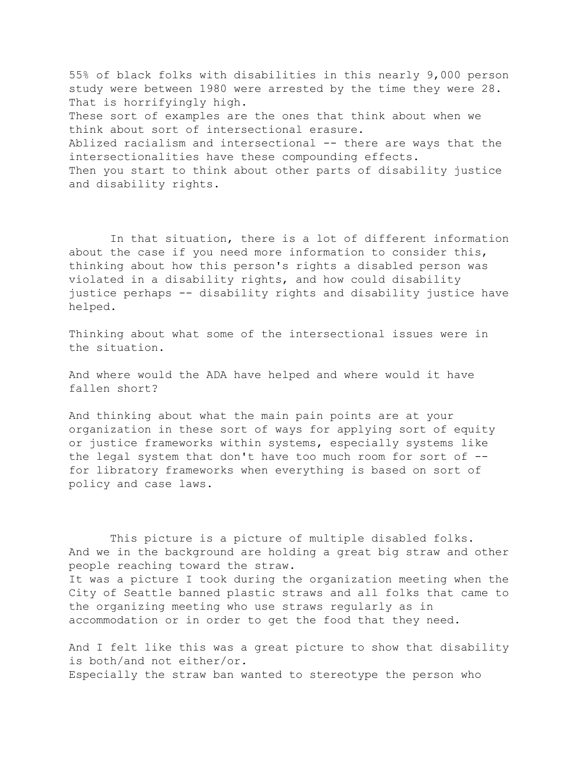55% of black folks with disabilities in this nearly 9,000 person study were between 1980 were arrested by the time they were 28. That is horrifyingly high. These sort of examples are the ones that think about when we think about sort of intersectional erasure. Ablized racialism and intersectional -- there are ways that the intersectionalities have these compounding effects. Then you start to think about other parts of disability justice and disability rights.

 In that situation, there is a lot of different information about the case if you need more information to consider this, thinking about how this person's rights a disabled person was violated in a disability rights, and how could disability justice perhaps -- disability rights and disability justice have helped.

Thinking about what some of the intersectional issues were in the situation.

And where would the ADA have helped and where would it have fallen short?

And thinking about what the main pain points are at your organization in these sort of ways for applying sort of equity or justice frameworks within systems, especially systems like the legal system that don't have too much room for sort of - for libratory frameworks when everything is based on sort of policy and case laws.

 This picture is a picture of multiple disabled folks. And we in the background are holding a great big straw and other people reaching toward the straw. It was a picture I took during the organization meeting when the City of Seattle banned plastic straws and all folks that came to the organizing meeting who use straws regularly as in accommodation or in order to get the food that they need.

And I felt like this was a great picture to show that disability is both/and not either/or. Especially the straw ban wanted to stereotype the person who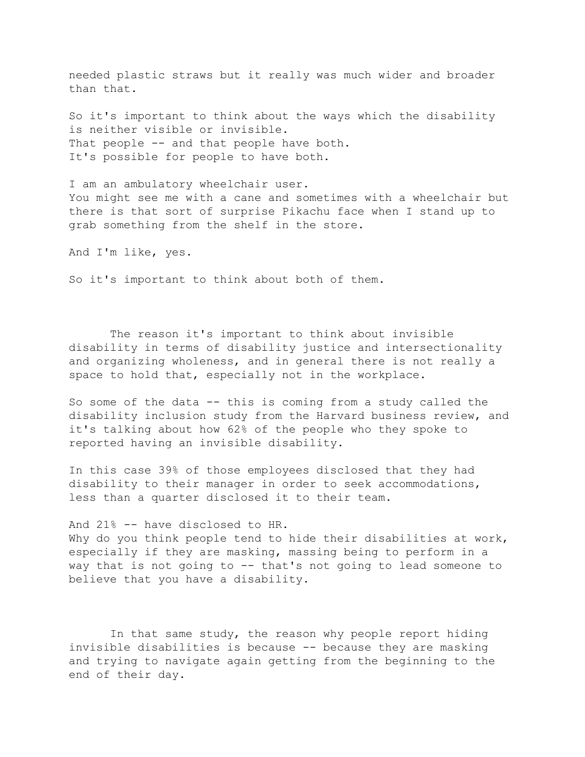needed plastic straws but it really was much wider and broader than that.

So it's important to think about the ways which the disability is neither visible or invisible. That people -- and that people have both. It's possible for people to have both.

I am an ambulatory wheelchair user. You might see me with a cane and sometimes with a wheelchair but there is that sort of surprise Pikachu face when I stand up to grab something from the shelf in the store.

And I'm like, yes.

So it's important to think about both of them.

 The reason it's important to think about invisible disability in terms of disability justice and intersectionality and organizing wholeness, and in general there is not really a space to hold that, especially not in the workplace.

So some of the data -- this is coming from a study called the disability inclusion study from the Harvard business review, and it's talking about how 62% of the people who they spoke to reported having an invisible disability.

In this case 39% of those employees disclosed that they had disability to their manager in order to seek accommodations, less than a quarter disclosed it to their team.

And 21% -- have disclosed to HR.

Why do you think people tend to hide their disabilities at work, especially if they are masking, massing being to perform in a way that is not going to -- that's not going to lead someone to believe that you have a disability.

 In that same study, the reason why people report hiding invisible disabilities is because -- because they are masking and trying to navigate again getting from the beginning to the end of their day.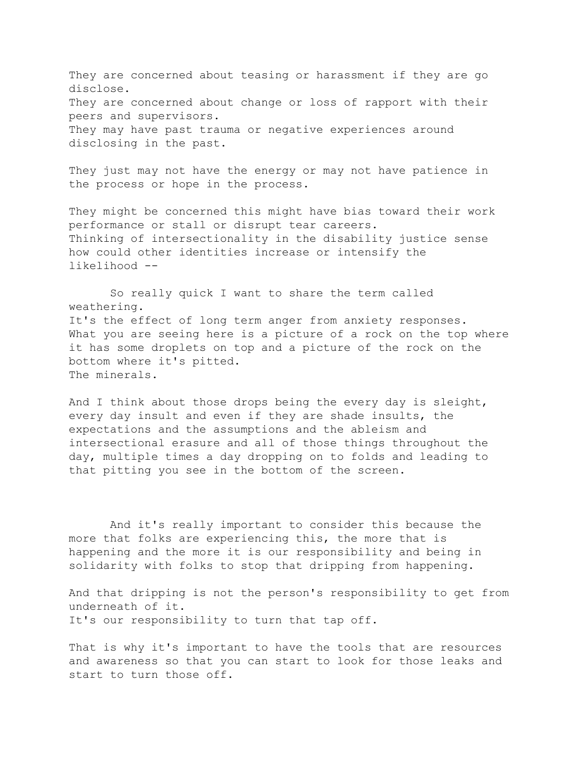They are concerned about teasing or harassment if they are go disclose. They are concerned about change or loss of rapport with their peers and supervisors. They may have past trauma or negative experiences around disclosing in the past.

They just may not have the energy or may not have patience in the process or hope in the process.

They might be concerned this might have bias toward their work performance or stall or disrupt tear careers. Thinking of intersectionality in the disability justice sense how could other identities increase or intensify the likelihood --

 So really quick I want to share the term called weathering. It's the effect of long term anger from anxiety responses. What you are seeing here is a picture of a rock on the top where it has some droplets on top and a picture of the rock on the bottom where it's pitted. The minerals.

And I think about those drops being the every day is sleight, every day insult and even if they are shade insults, the expectations and the assumptions and the ableism and intersectional erasure and all of those things throughout the day, multiple times a day dropping on to folds and leading to that pitting you see in the bottom of the screen.

 And it's really important to consider this because the more that folks are experiencing this, the more that is happening and the more it is our responsibility and being in solidarity with folks to stop that dripping from happening.

And that dripping is not the person's responsibility to get from underneath of it. It's our responsibility to turn that tap off.

That is why it's important to have the tools that are resources and awareness so that you can start to look for those leaks and start to turn those off.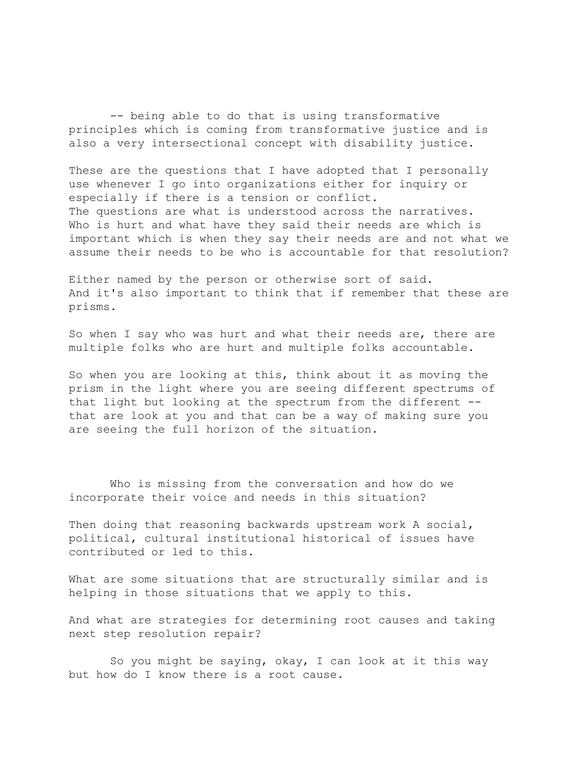-- being able to do that is using transformative principles which is coming from transformative justice and is also a very intersectional concept with disability justice.

These are the questions that I have adopted that I personally use whenever I go into organizations either for inquiry or especially if there is a tension or conflict. The questions are what is understood across the narratives. Who is hurt and what have they said their needs are which is important which is when they say their needs are and not what we assume their needs to be who is accountable for that resolution?

Either named by the person or otherwise sort of said. And it's also important to think that if remember that these are prisms.

So when I say who was hurt and what their needs are, there are multiple folks who are hurt and multiple folks accountable.

So when you are looking at this, think about it as moving the prism in the light where you are seeing different spectrums of that light but looking at the spectrum from the different - that are look at you and that can be a way of making sure you are seeing the full horizon of the situation.

 Who is missing from the conversation and how do we incorporate their voice and needs in this situation?

Then doing that reasoning backwards upstream work A social, political, cultural institutional historical of issues have contributed or led to this.

What are some situations that are structurally similar and is helping in those situations that we apply to this.

And what are strategies for determining root causes and taking next step resolution repair?

 So you might be saying, okay, I can look at it this way but how do I know there is a root cause.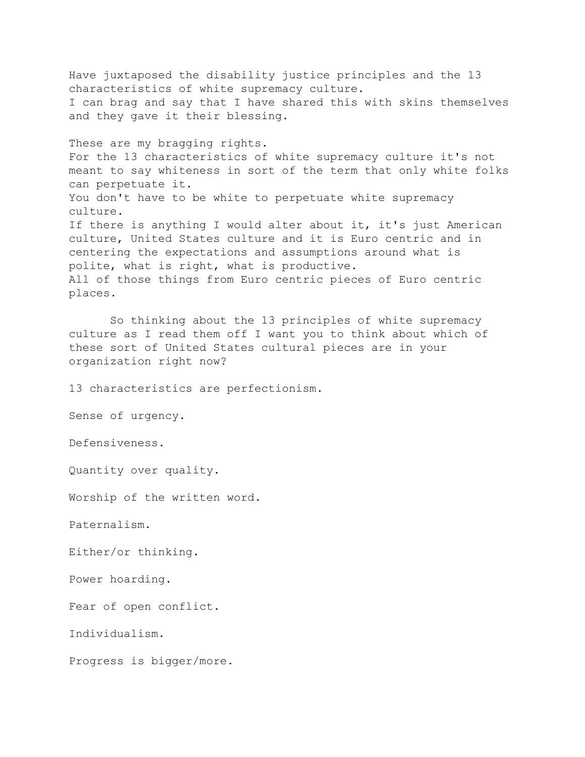Have juxtaposed the disability justice principles and the 13 characteristics of white supremacy culture. I can brag and say that I have shared this with skins themselves and they gave it their blessing.

These are my bragging rights. For the 13 characteristics of white supremacy culture it's not meant to say whiteness in sort of the term that only white folks can perpetuate it. You don't have to be white to perpetuate white supremacy culture. If there is anything I would alter about it, it's just American culture, United States culture and it is Euro centric and in centering the expectations and assumptions around what is polite, what is right, what is productive. All of those things from Euro centric pieces of Euro centric places.

 So thinking about the 13 principles of white supremacy culture as I read them off I want you to think about which of these sort of United States cultural pieces are in your organization right now?

13 characteristics are perfectionism.

Sense of urgency.

Defensiveness.

Quantity over quality.

Worship of the written word.

Paternalism.

Either/or thinking.

Power hoarding.

Fear of open conflict.

Individualism.

Progress is bigger/more.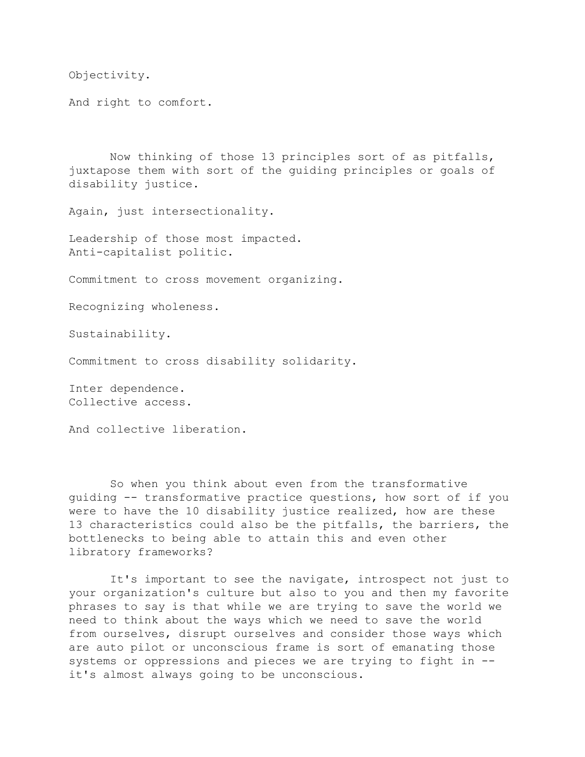Objectivity.

And right to comfort.

 Now thinking of those 13 principles sort of as pitfalls, juxtapose them with sort of the guiding principles or goals of disability justice.

Again, just intersectionality.

Leadership of those most impacted. Anti-capitalist politic.

Commitment to cross movement organizing.

Recognizing wholeness.

Sustainability.

Commitment to cross disability solidarity.

Inter dependence. Collective access.

And collective liberation.

 So when you think about even from the transformative guiding -- transformative practice questions, how sort of if you were to have the 10 disability justice realized, how are these 13 characteristics could also be the pitfalls, the barriers, the bottlenecks to being able to attain this and even other libratory frameworks?

 It's important to see the navigate, introspect not just to your organization's culture but also to you and then my favorite phrases to say is that while we are trying to save the world we need to think about the ways which we need to save the world from ourselves, disrupt ourselves and consider those ways which are auto pilot or unconscious frame is sort of emanating those systems or oppressions and pieces we are trying to fight in - it's almost always going to be unconscious.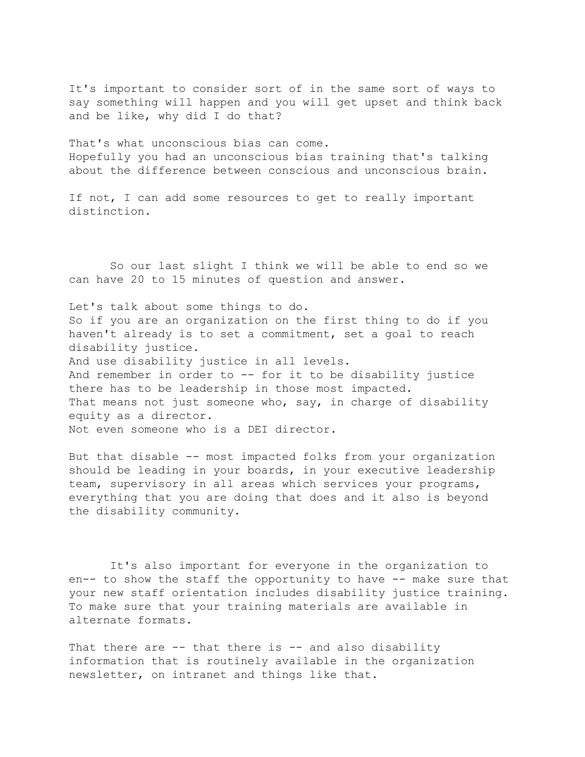It's important to consider sort of in the same sort of ways to say something will happen and you will get upset and think back and be like, why did I do that?

That's what unconscious bias can come. Hopefully you had an unconscious bias training that's talking about the difference between conscious and unconscious brain.

If not, I can add some resources to get to really important distinction.

 So our last slight I think we will be able to end so we can have 20 to 15 minutes of question and answer.

Let's talk about some things to do. So if you are an organization on the first thing to do if you haven't already is to set a commitment, set a goal to reach disability justice. And use disability justice in all levels. And remember in order to -- for it to be disability justice there has to be leadership in those most impacted. That means not just someone who, say, in charge of disability equity as a director. Not even someone who is a DEI director.

But that disable -- most impacted folks from your organization should be leading in your boards, in your executive leadership team, supervisory in all areas which services your programs, everything that you are doing that does and it also is beyond the disability community.

 It's also important for everyone in the organization to en-- to show the staff the opportunity to have -- make sure that your new staff orientation includes disability justice training. To make sure that your training materials are available in alternate formats.

That there are -- that there is -- and also disability information that is routinely available in the organization newsletter, on intranet and things like that.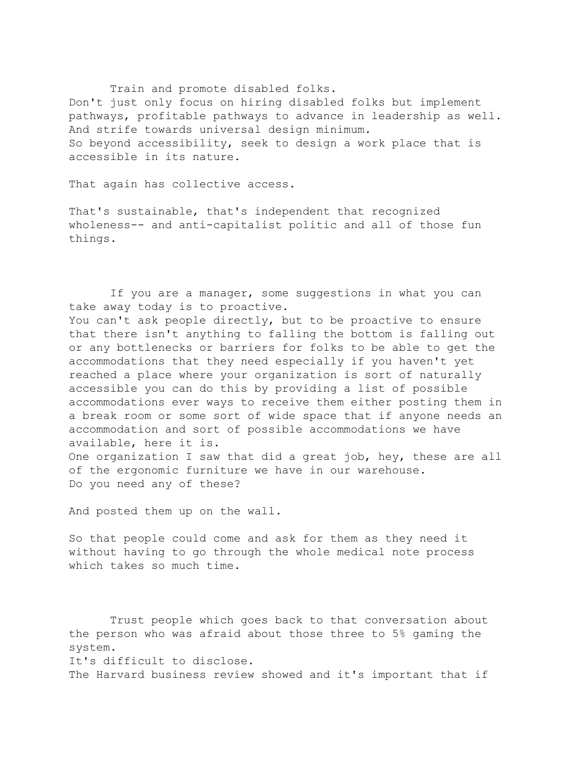Train and promote disabled folks. Don't just only focus on hiring disabled folks but implement pathways, profitable pathways to advance in leadership as well. And strife towards universal design minimum. So beyond accessibility, seek to design a work place that is accessible in its nature.

That again has collective access.

That's sustainable, that's independent that recognized wholeness-- and anti-capitalist politic and all of those fun things.

 If you are a manager, some suggestions in what you can take away today is to proactive.

You can't ask people directly, but to be proactive to ensure that there isn't anything to falling the bottom is falling out or any bottlenecks or barriers for folks to be able to get the accommodations that they need especially if you haven't yet reached a place where your organization is sort of naturally accessible you can do this by providing a list of possible accommodations ever ways to receive them either posting them in a break room or some sort of wide space that if anyone needs an accommodation and sort of possible accommodations we have available, here it is. One organization I saw that did a great job, hey, these are all

of the ergonomic furniture we have in our warehouse. Do you need any of these?

And posted them up on the wall.

So that people could come and ask for them as they need it without having to go through the whole medical note process which takes so much time.

 Trust people which goes back to that conversation about the person who was afraid about those three to 5% gaming the system. It's difficult to disclose. The Harvard business review showed and it's important that if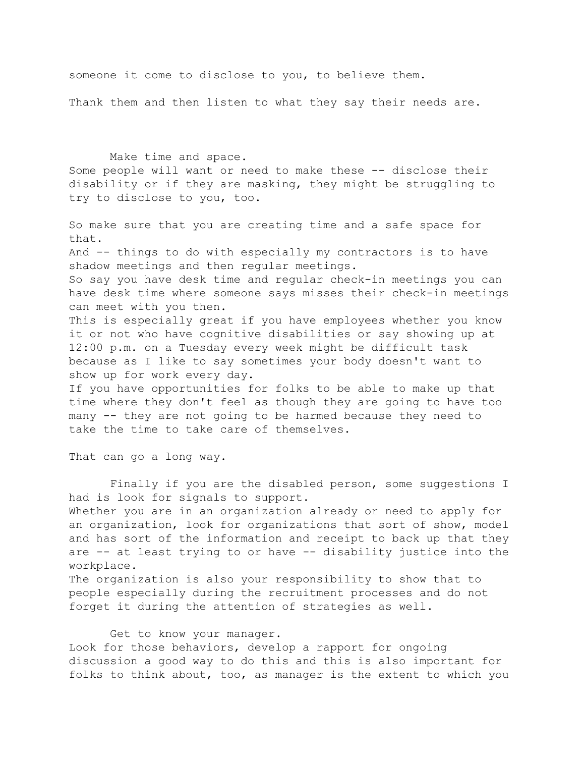someone it come to disclose to you, to believe them.

Thank them and then listen to what they say their needs are.

 Make time and space. Some people will want or need to make these -- disclose their disability or if they are masking, they might be struggling to try to disclose to you, too.

So make sure that you are creating time and a safe space for that. And -- things to do with especially my contractors is to have shadow meetings and then regular meetings. So say you have desk time and regular check-in meetings you can have desk time where someone says misses their check-in meetings can meet with you then. This is especially great if you have employees whether you know it or not who have cognitive disabilities or say showing up at 12:00 p.m. on a Tuesday every week might be difficult task because as I like to say sometimes your body doesn't want to show up for work every day. If you have opportunities for folks to be able to make up that time where they don't feel as though they are going to have too many -- they are not going to be harmed because they need to take the time to take care of themselves.

That can go a long way.

 Finally if you are the disabled person, some suggestions I had is look for signals to support. Whether you are in an organization already or need to apply for an organization, look for organizations that sort of show, model and has sort of the information and receipt to back up that they are -- at least trying to or have -- disability justice into the workplace. The organization is also your responsibility to show that to people especially during the recruitment processes and do not forget it during the attention of strategies as well.

Get to know your manager.

Look for those behaviors, develop a rapport for ongoing discussion a good way to do this and this is also important for folks to think about, too, as manager is the extent to which you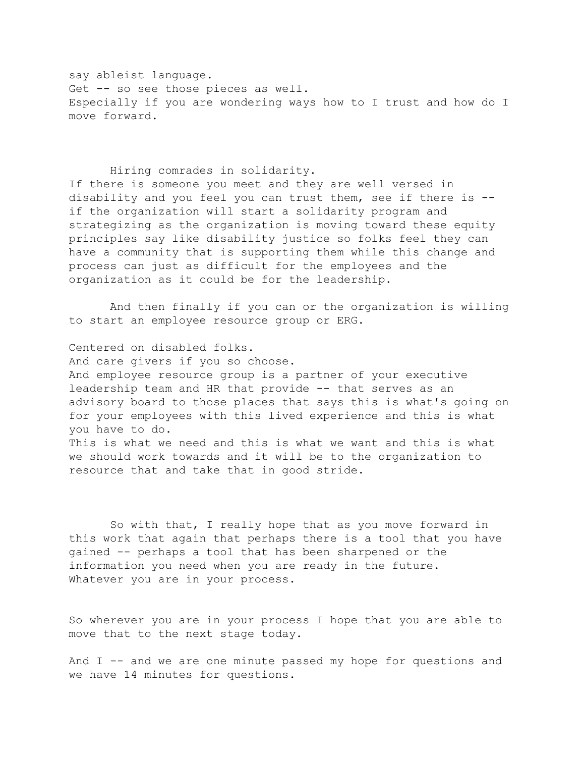say ableist language. Get -- so see those pieces as well. Especially if you are wondering ways how to I trust and how do I move forward.

## Hiring comrades in solidarity.

If there is someone you meet and they are well versed in disability and you feel you can trust them, see if there is - if the organization will start a solidarity program and strategizing as the organization is moving toward these equity principles say like disability justice so folks feel they can have a community that is supporting them while this change and process can just as difficult for the employees and the organization as it could be for the leadership.

 And then finally if you can or the organization is willing to start an employee resource group or ERG.

Centered on disabled folks. And care givers if you so choose. And employee resource group is a partner of your executive leadership team and HR that provide -- that serves as an advisory board to those places that says this is what's going on for your employees with this lived experience and this is what you have to do. This is what we need and this is what we want and this is what we should work towards and it will be to the organization to resource that and take that in good stride.

 So with that, I really hope that as you move forward in this work that again that perhaps there is a tool that you have gained -- perhaps a tool that has been sharpened or the information you need when you are ready in the future. Whatever you are in your process.

So wherever you are in your process I hope that you are able to move that to the next stage today.

And I -- and we are one minute passed my hope for questions and we have 14 minutes for questions.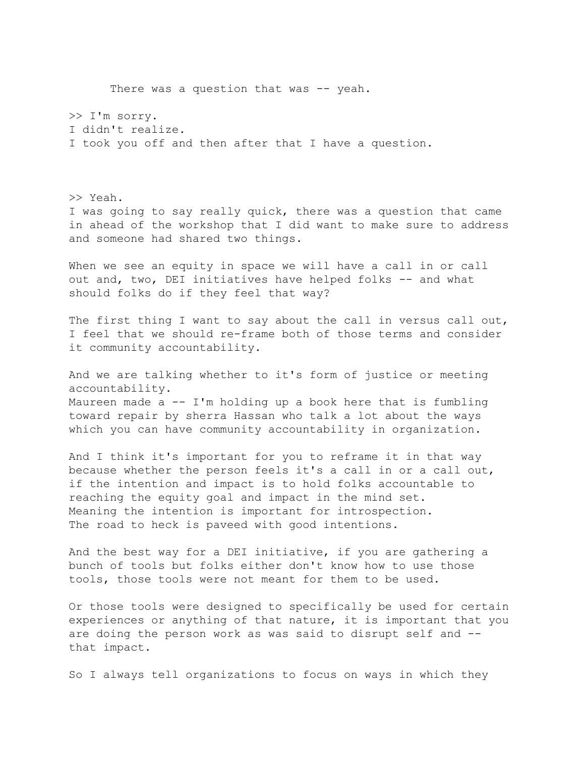>> I'm sorry. I didn't realize. I took you off and then after that I have a question. >> Yeah. I was going to say really quick, there was a question that came in ahead of the workshop that I did want to make sure to address and someone had shared two things. When we see an equity in space we will have a call in or call out and, two, DEI initiatives have helped folks -- and what should folks do if they feel that way? The first thing I want to say about the call in versus call out, I feel that we should re-frame both of those terms and consider it community accountability. And we are talking whether to it's form of justice or meeting accountability. Maureen made  $a - - I'm$  holding up a book here that is fumbling toward repair by sherra Hassan who talk a lot about the ways which you can have community accountability in organization. And I think it's important for you to reframe it in that way because whether the person feels it's a call in or a call out, if the intention and impact is to hold folks accountable to reaching the equity goal and impact in the mind set. Meaning the intention is important for introspection. The road to heck is paveed with good intentions. And the best way for a DEI initiative, if you are gathering a bunch of tools but folks either don't know how to use those tools, those tools were not meant for them to be used. Or those tools were designed to specifically be used for certain experiences or anything of that nature, it is important that you are doing the person work as was said to disrupt self and - that impact.

There was a question that was -- yeah.

So I always tell organizations to focus on ways in which they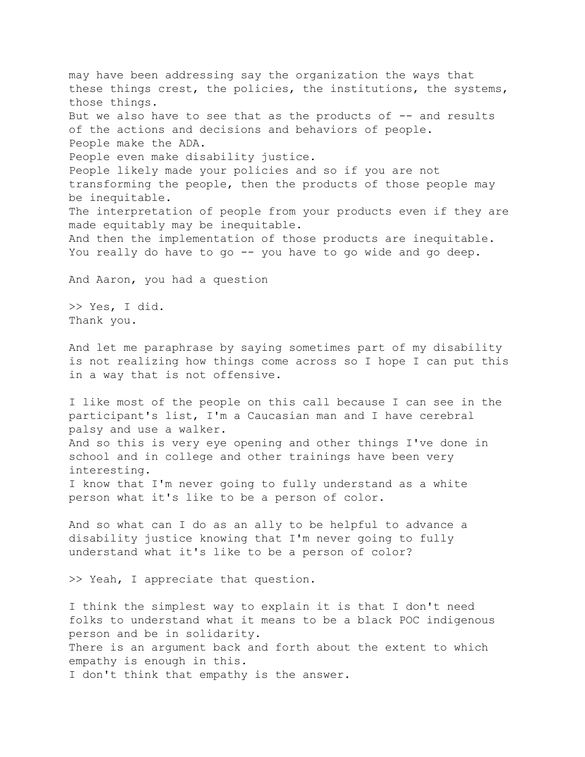may have been addressing say the organization the ways that these things crest, the policies, the institutions, the systems, those things. But we also have to see that as the products of  $-$ - and results of the actions and decisions and behaviors of people. People make the ADA. People even make disability justice. People likely made your policies and so if you are not transforming the people, then the products of those people may be inequitable. The interpretation of people from your products even if they are made equitably may be inequitable. And then the implementation of those products are inequitable. You really do have to go -- you have to go wide and go deep. And Aaron, you had a question >> Yes, I did. Thank you. And let me paraphrase by saying sometimes part of my disability is not realizing how things come across so I hope I can put this in a way that is not offensive. I like most of the people on this call because I can see in the participant's list, I'm a Caucasian man and I have cerebral palsy and use a walker. And so this is very eye opening and other things I've done in school and in college and other trainings have been very interesting. I know that I'm never going to fully understand as a white person what it's like to be a person of color. And so what can I do as an ally to be helpful to advance a disability justice knowing that I'm never going to fully understand what it's like to be a person of color? >> Yeah, I appreciate that question. I think the simplest way to explain it is that I don't need folks to understand what it means to be a black POC indigenous person and be in solidarity. There is an argument back and forth about the extent to which empathy is enough in this. I don't think that empathy is the answer.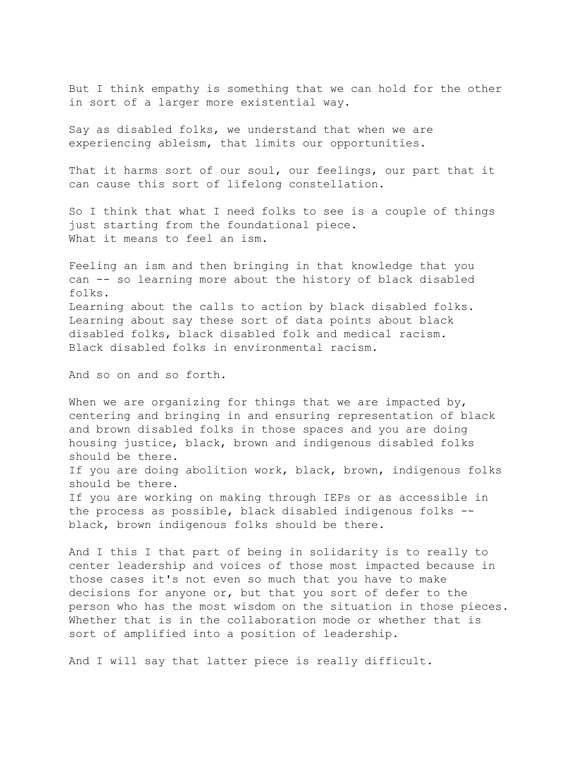But I think empathy is something that we can hold for the other in sort of a larger more existential way.

Say as disabled folks, we understand that when we are experiencing ableism, that limits our opportunities.

That it harms sort of our soul, our feelings, our part that it can cause this sort of lifelong constellation.

So I think that what I need folks to see is a couple of things just starting from the foundational piece. What it means to feel an ism.

Feeling an ism and then bringing in that knowledge that you can -- so learning more about the history of black disabled folks. Learning about the calls to action by black disabled folks. Learning about say these sort of data points about black disabled folks, black disabled folk and medical racism. Black disabled folks in environmental racism.

And so on and so forth.

When we are organizing for things that we are impacted by, centering and bringing in and ensuring representation of black and brown disabled folks in those spaces and you are doing housing justice, black, brown and indigenous disabled folks should be there. If you are doing abolition work, black, brown, indigenous folks should be there. If you are working on making through IEPs or as accessible in the process as possible, black disabled indigenous folks - black, brown indigenous folks should be there.

And I this I that part of being in solidarity is to really to center leadership and voices of those most impacted because in those cases it's not even so much that you have to make decisions for anyone or, but that you sort of defer to the person who has the most wisdom on the situation in those pieces. Whether that is in the collaboration mode or whether that is sort of amplified into a position of leadership.

And I will say that latter piece is really difficult.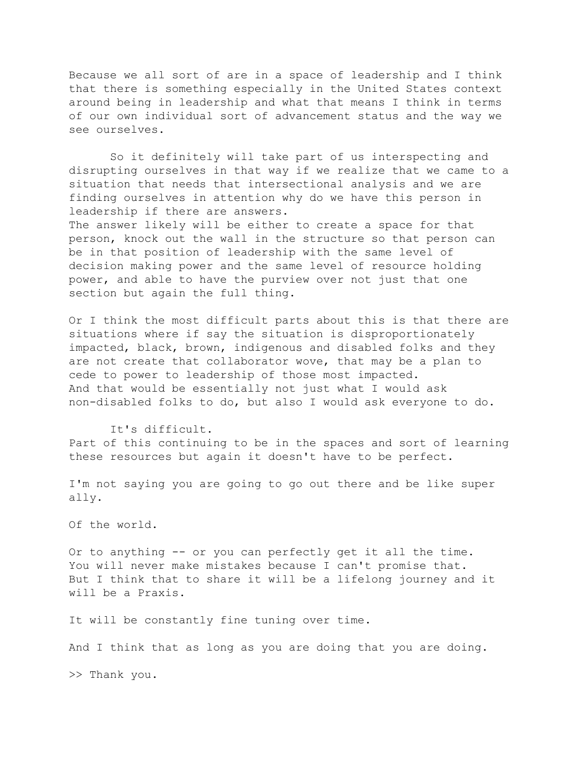Because we all sort of are in a space of leadership and I think that there is something especially in the United States context around being in leadership and what that means I think in terms of our own individual sort of advancement status and the way we see ourselves.

 So it definitely will take part of us interspecting and disrupting ourselves in that way if we realize that we came to a situation that needs that intersectional analysis and we are finding ourselves in attention why do we have this person in leadership if there are answers.

The answer likely will be either to create a space for that person, knock out the wall in the structure so that person can be in that position of leadership with the same level of decision making power and the same level of resource holding power, and able to have the purview over not just that one section but again the full thing.

Or I think the most difficult parts about this is that there are situations where if say the situation is disproportionately impacted, black, brown, indigenous and disabled folks and they are not create that collaborator wove, that may be a plan to cede to power to leadership of those most impacted. And that would be essentially not just what I would ask non-disabled folks to do, but also I would ask everyone to do.

It's difficult.

Part of this continuing to be in the spaces and sort of learning these resources but again it doesn't have to be perfect.

I'm not saying you are going to go out there and be like super ally.

Of the world.

Or to anything -- or you can perfectly get it all the time. You will never make mistakes because I can't promise that. But I think that to share it will be a lifelong journey and it will be a Praxis.

It will be constantly fine tuning over time.

And I think that as long as you are doing that you are doing.

>> Thank you.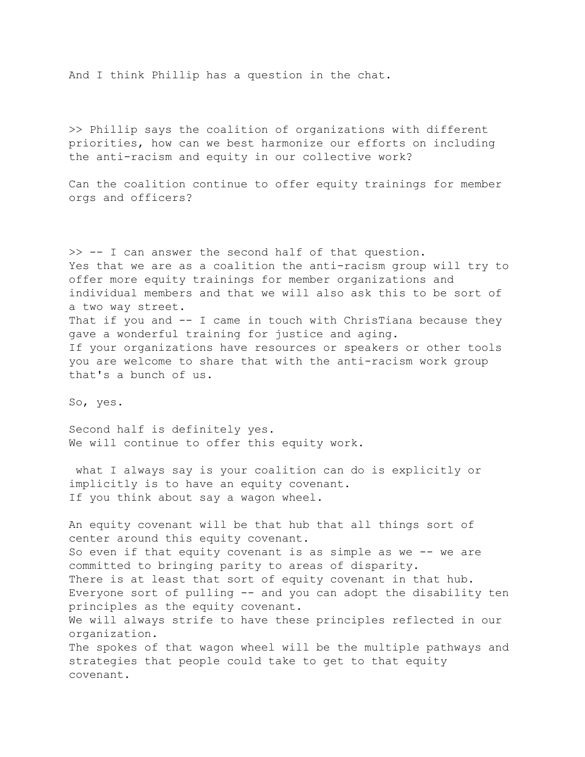And I think Phillip has a question in the chat.

>> Phillip says the coalition of organizations with different priorities, how can we best harmonize our efforts on including the anti-racism and equity in our collective work?

Can the coalition continue to offer equity trainings for member orgs and officers?

>> -- I can answer the second half of that question. Yes that we are as a coalition the anti-racism group will try to offer more equity trainings for member organizations and individual members and that we will also ask this to be sort of a two way street. That if you and -- I came in touch with ChrisTiana because they gave a wonderful training for justice and aging. If your organizations have resources or speakers or other tools you are welcome to share that with the anti-racism work group that's a bunch of us.

So, yes.

Second half is definitely yes. We will continue to offer this equity work.

 what I always say is your coalition can do is explicitly or implicitly is to have an equity covenant. If you think about say a wagon wheel.

An equity covenant will be that hub that all things sort of center around this equity covenant. So even if that equity covenant is as simple as we -- we are committed to bringing parity to areas of disparity. There is at least that sort of equity covenant in that hub. Everyone sort of pulling -- and you can adopt the disability ten principles as the equity covenant. We will always strife to have these principles reflected in our organization. The spokes of that wagon wheel will be the multiple pathways and strategies that people could take to get to that equity covenant.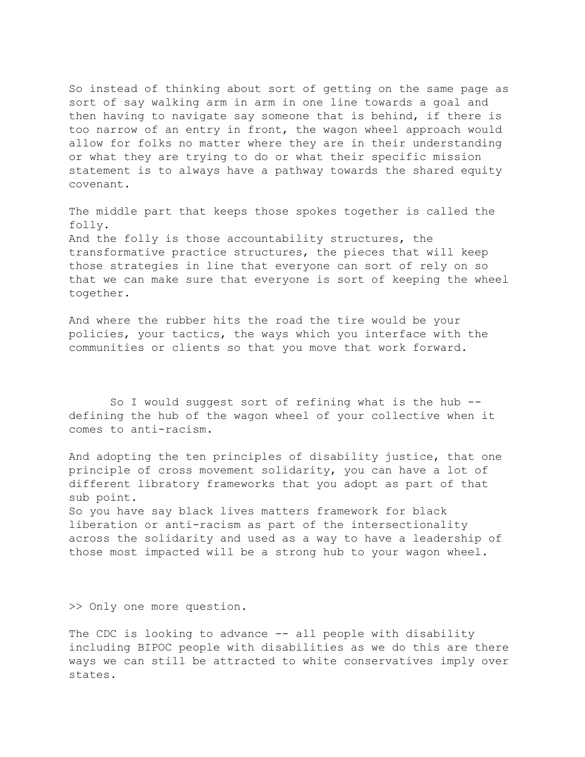So instead of thinking about sort of getting on the same page as sort of say walking arm in arm in one line towards a goal and then having to navigate say someone that is behind, if there is too narrow of an entry in front, the wagon wheel approach would allow for folks no matter where they are in their understanding or what they are trying to do or what their specific mission statement is to always have a pathway towards the shared equity covenant.

The middle part that keeps those spokes together is called the folly. And the folly is those accountability structures, the transformative practice structures, the pieces that will keep those strategies in line that everyone can sort of rely on so that we can make sure that everyone is sort of keeping the wheel together.

And where the rubber hits the road the tire would be your policies, your tactics, the ways which you interface with the communities or clients so that you move that work forward.

 So I would suggest sort of refining what is the hub - defining the hub of the wagon wheel of your collective when it comes to anti-racism.

And adopting the ten principles of disability justice, that one principle of cross movement solidarity, you can have a lot of different libratory frameworks that you adopt as part of that sub point. So you have say black lives matters framework for black

liberation or anti-racism as part of the intersectionality across the solidarity and used as a way to have a leadership of those most impacted will be a strong hub to your wagon wheel.

>> Only one more question.

The CDC is looking to advance -- all people with disability including BIPOC people with disabilities as we do this are there ways we can still be attracted to white conservatives imply over states.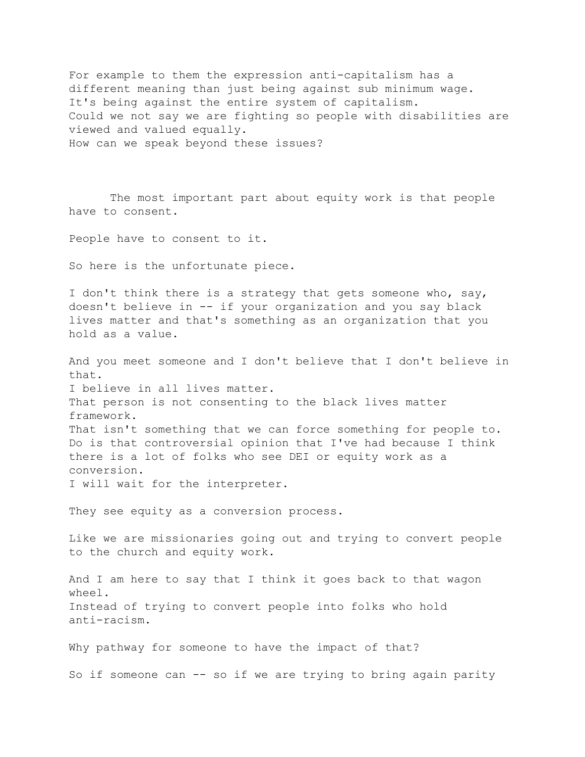For example to them the expression anti-capitalism has a different meaning than just being against sub minimum wage. It's being against the entire system of capitalism. Could we not say we are fighting so people with disabilities are viewed and valued equally. How can we speak beyond these issues?

 The most important part about equity work is that people have to consent.

People have to consent to it.

So here is the unfortunate piece.

I don't think there is a strategy that gets someone who, say, doesn't believe in -- if your organization and you say black lives matter and that's something as an organization that you hold as a value.

And you meet someone and I don't believe that I don't believe in that. I believe in all lives matter. That person is not consenting to the black lives matter framework. That isn't something that we can force something for people to. Do is that controversial opinion that I've had because I think there is a lot of folks who see DEI or equity work as a conversion. I will wait for the interpreter.

They see equity as a conversion process.

Like we are missionaries going out and trying to convert people to the church and equity work.

And I am here to say that I think it goes back to that wagon wheel. Instead of trying to convert people into folks who hold anti-racism.

Why pathway for someone to have the impact of that?

So if someone can -- so if we are trying to bring again parity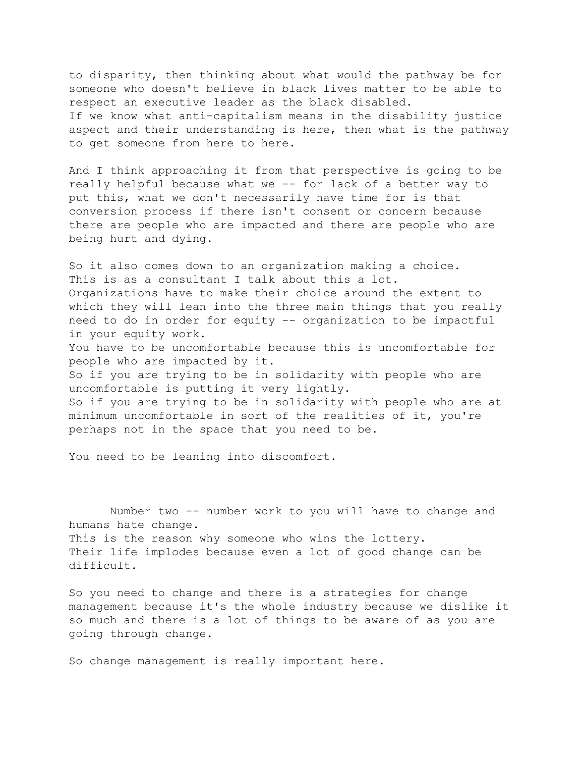to disparity, then thinking about what would the pathway be for someone who doesn't believe in black lives matter to be able to respect an executive leader as the black disabled. If we know what anti-capitalism means in the disability justice aspect and their understanding is here, then what is the pathway to get someone from here to here.

And I think approaching it from that perspective is going to be really helpful because what we -- for lack of a better way to put this, what we don't necessarily have time for is that conversion process if there isn't consent or concern because there are people who are impacted and there are people who are being hurt and dying.

So it also comes down to an organization making a choice. This is as a consultant I talk about this a lot. Organizations have to make their choice around the extent to which they will lean into the three main things that you really need to do in order for equity -- organization to be impactful in your equity work. You have to be uncomfortable because this is uncomfortable for people who are impacted by it. So if you are trying to be in solidarity with people who are uncomfortable is putting it very lightly. So if you are trying to be in solidarity with people who are at minimum uncomfortable in sort of the realities of it, you're perhaps not in the space that you need to be.

You need to be leaning into discomfort.

 Number two -- number work to you will have to change and humans hate change. This is the reason why someone who wins the lottery. Their life implodes because even a lot of good change can be difficult.

So you need to change and there is a strategies for change management because it's the whole industry because we dislike it so much and there is a lot of things to be aware of as you are going through change.

So change management is really important here.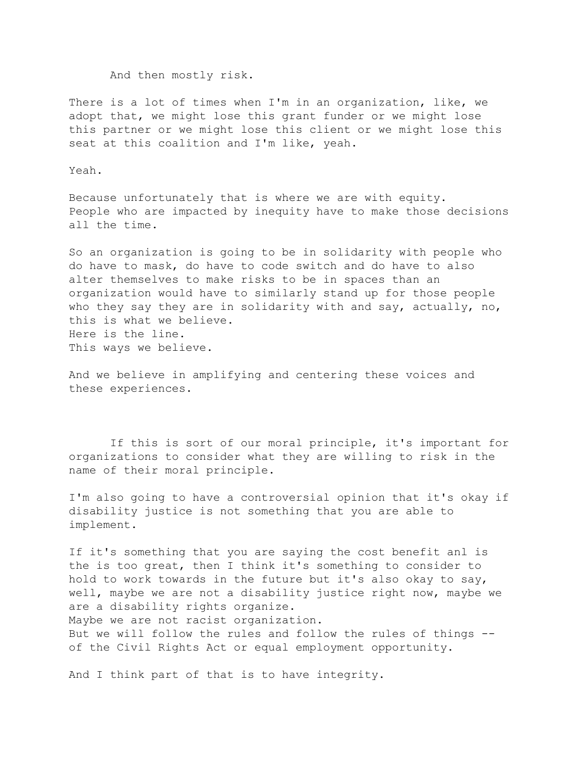And then mostly risk.

There is a lot of times when I'm in an organization, like, we adopt that, we might lose this grant funder or we might lose this partner or we might lose this client or we might lose this seat at this coalition and I'm like, yeah.

Yeah.

Because unfortunately that is where we are with equity. People who are impacted by inequity have to make those decisions all the time.

So an organization is going to be in solidarity with people who do have to mask, do have to code switch and do have to also alter themselves to make risks to be in spaces than an organization would have to similarly stand up for those people who they say they are in solidarity with and say, actually, no, this is what we believe. Here is the line. This ways we believe.

And we believe in amplifying and centering these voices and these experiences.

 If this is sort of our moral principle, it's important for organizations to consider what they are willing to risk in the name of their moral principle.

I'm also going to have a controversial opinion that it's okay if disability justice is not something that you are able to implement.

If it's something that you are saying the cost benefit anl is the is too great, then I think it's something to consider to hold to work towards in the future but it's also okay to say, well, maybe we are not a disability justice right now, maybe we are a disability rights organize. Maybe we are not racist organization. But we will follow the rules and follow the rules of things - of the Civil Rights Act or equal employment opportunity.

And I think part of that is to have integrity.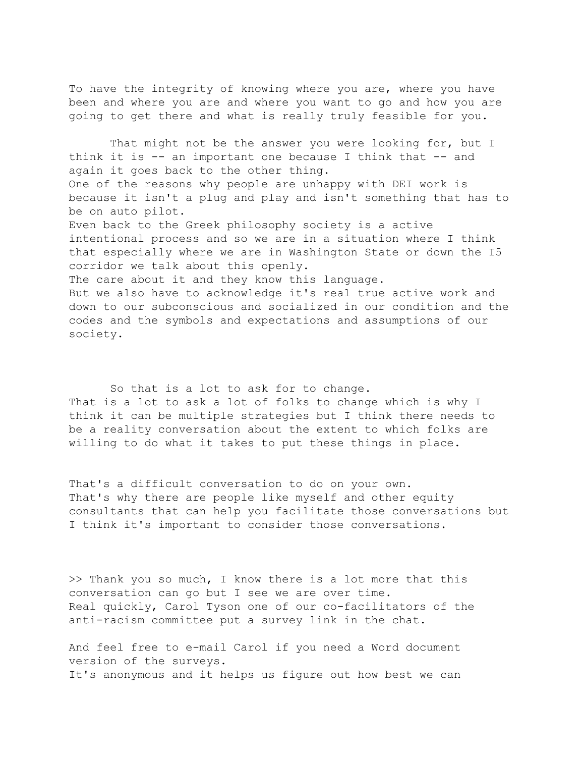To have the integrity of knowing where you are, where you have been and where you are and where you want to go and how you are going to get there and what is really truly feasible for you.

That might not be the answer you were looking for, but I think it is -- an important one because I think that -- and again it goes back to the other thing. One of the reasons why people are unhappy with DEI work is because it isn't a plug and play and isn't something that has to be on auto pilot. Even back to the Greek philosophy society is a active intentional process and so we are in a situation where I think that especially where we are in Washington State or down the I5 corridor we talk about this openly. The care about it and they know this language. But we also have to acknowledge it's real true active work and down to our subconscious and socialized in our condition and the

codes and the symbols and expectations and assumptions of our society.

 So that is a lot to ask for to change. That is a lot to ask a lot of folks to change which is why I think it can be multiple strategies but I think there needs to be a reality conversation about the extent to which folks are willing to do what it takes to put these things in place.

That's a difficult conversation to do on your own. That's why there are people like myself and other equity consultants that can help you facilitate those conversations but I think it's important to consider those conversations.

>> Thank you so much, I know there is a lot more that this conversation can go but I see we are over time. Real quickly, Carol Tyson one of our co-facilitators of the anti-racism committee put a survey link in the chat.

And feel free to e-mail Carol if you need a Word document version of the surveys. It's anonymous and it helps us figure out how best we can